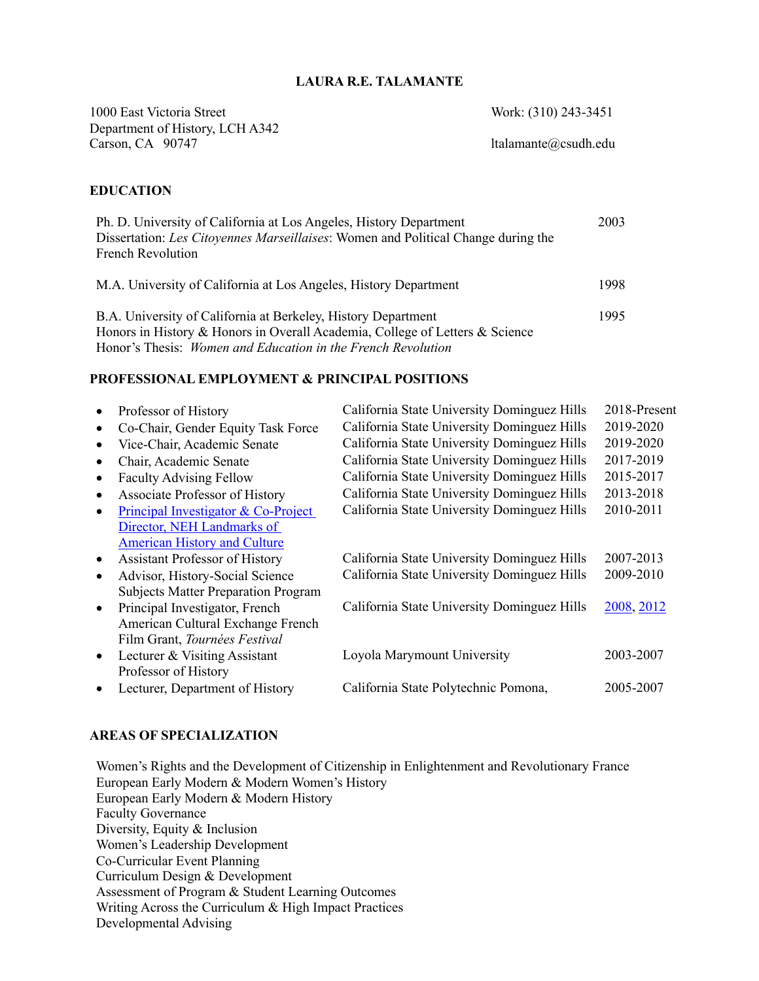### **LAURA R.E. TALAMANTE**

1000 East Victoria Street Work: (310) 243-3451 Department of History, LCH A342 Carson, CA 90747 ltalamante@csudh.edu

#### **EDUCATION**

| Ph. D. University of California at Los Angeles, History Department                | 2003 |
|-----------------------------------------------------------------------------------|------|
| Dissertation: Les Citoyennes Marseillaises: Women and Political Change during the |      |
| <b>French Revolution</b>                                                          |      |
|                                                                                   |      |
| M.A. University of California at Los Angeles, History Department                  | 1998 |
|                                                                                   |      |
| B.A. University of California at Berkeley, History Department                     | 1995 |
| Honors in History & Honors in Overall Academia, College of Letters & Science      |      |
| Honor's Thesis: <i>Women and Education in the French Revolution</i>               |      |

#### **PROFESSIONAL EMPLOYMENT & PRINCIPAL POSITIONS**

|           | Professor of History                       | California State University Dominguez Hills | 2018-Present |
|-----------|--------------------------------------------|---------------------------------------------|--------------|
|           | Co-Chair, Gender Equity Task Force         | California State University Dominguez Hills | 2019-2020    |
|           | Vice-Chair, Academic Senate                | California State University Dominguez Hills | 2019-2020    |
|           | Chair, Academic Senate                     | California State University Dominguez Hills | 2017-2019    |
|           | <b>Faculty Advising Fellow</b>             | California State University Dominguez Hills | 2015-2017    |
|           | Associate Professor of History             | California State University Dominguez Hills | 2013-2018    |
|           | Principal Investigator & Co-Project        | California State University Dominguez Hills | 2010-2011    |
|           | Director, NEH Landmarks of                 |                                             |              |
|           | <b>American History and Culture</b>        |                                             |              |
| $\bullet$ | <b>Assistant Professor of History</b>      | California State University Dominguez Hills | 2007-2013    |
|           | Advisor, History-Social Science            | California State University Dominguez Hills | 2009-2010    |
|           | <b>Subjects Matter Preparation Program</b> |                                             |              |
| $\bullet$ | Principal Investigator, French             | California State University Dominguez Hills | 2008, 2012   |
|           | American Cultural Exchange French          |                                             |              |
|           | Film Grant, Tournées Festival              |                                             |              |
| $\bullet$ | Lecturer & Visiting Assistant              | Loyola Marymount University                 | 2003-2007    |
|           | Professor of History                       |                                             |              |
|           | Lecturer, Department of History            | California State Polytechnic Pomona,        | 2005-2007    |
|           |                                            |                                             |              |

## **AREAS OF SPECIALIZATION**

Women's Rights and the Development of Citizenship in Enlightenment and Revolutionary France European Early Modern & Modern Women's History European Early Modern & Modern History Faculty Governance Diversity, Equity & Inclusion Women's Leadership Development Co-Curricular Event Planning Curriculum Design & Development Assessment of Program & Student Learning Outcomes Writing Across the Curriculum & High Impact Practices Developmental Advising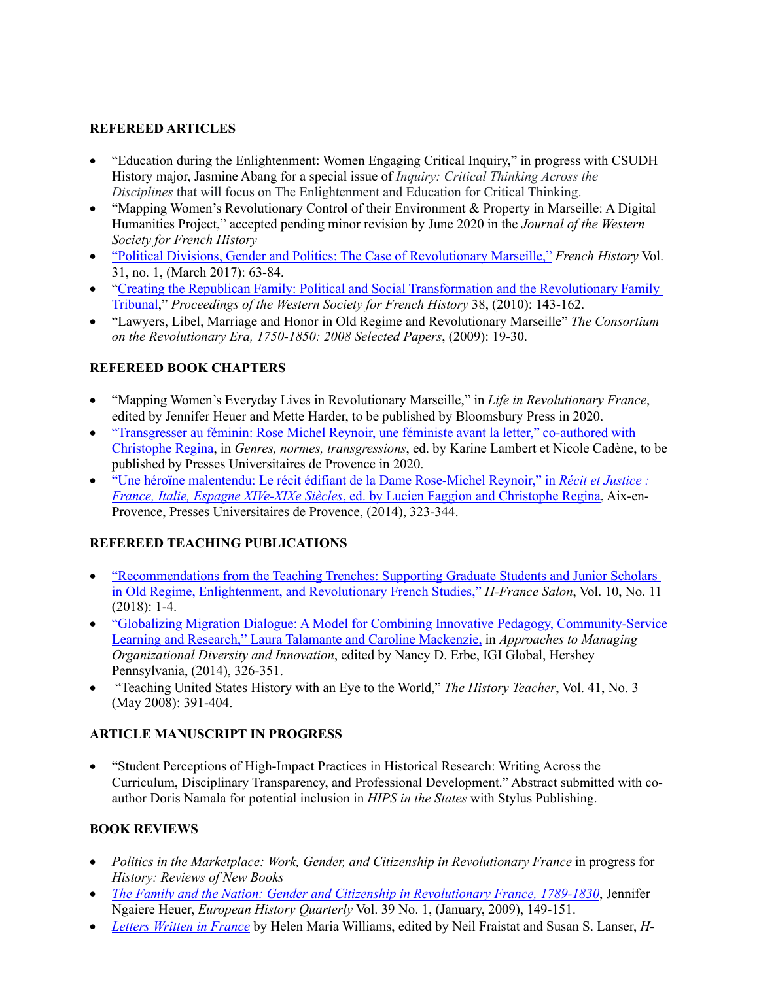## **REFEREED ARTICLES**

- "Education during the Enlightenment: Women Engaging Critical Inquiry," in progress with CSUDH History major, Jasmine Abang for a special issue of *Inquiry: Critical Thinking Across the Disciplines* that will focus on The Enlightenment and Education for Critical Thinking.
- "Mapping Women's Revolutionary Control of their Environment & Property in Marseille: A Digital Humanities Project," accepted pending minor revision by June 2020 in the *Journal of the Western Society for French History*
- "Political Divisions, Gender and Politics: The Case of Revolutionary Marseille," *French History* Vol. 31, no. 1, (March 2017): 63-84.
- "Creating the Republican Family: Political and Social Transformation and the Revolutionary Family Tribunal," *Proceedings of the Western Society for French History* 38, (2010): 143-162.
- "Lawyers, Libel, Marriage and Honor in Old Regime and Revolutionary Marseille" *The Consortium on the Revolutionary Era, 1750-1850: 2008 Selected Papers*, (2009): 19-30.

## **REFEREED BOOK CHAPTERS**

- "Mapping Women's Everyday Lives in Revolutionary Marseille," in *Life in Revolutionary France*, edited by Jennifer Heuer and Mette Harder, to be published by Bloomsbury Press in 2020.
- "Transgresser au féminin: Rose Michel Reynoir, une féministe avant la letter," co-authored with Christophe Regina, in *Genres, normes, transgressions*, ed. by Karine Lambert et Nicole Cadène, to be published by Presses Universitaires de Provence in 2020.
- "Une héroïne malentendu: Le récit édifiant de la Dame Rose-Michel Reynoir," in *Récit et Justice : France, Italie, Espagne XIVe-XIXe Siècles*, ed. by Lucien Faggion and Christophe Regina, Aix-en-Provence, Presses Universitaires de Provence, (2014), 323-344.

## **REFEREED TEACHING PUBLICATIONS**

- "Recommendations from the Teaching Trenches: Supporting Graduate Students and Junior Scholars in Old Regime, Enlightenment, and Revolutionary French Studies," *H-France Salon*, Vol. 10, No. 11 (2018): 1-4.
- "Globalizing Migration Dialogue: A Model for Combining Innovative Pedagogy, Community-Service Learning and Research," Laura Talamante and Caroline Mackenzie, in *Approaches to Managing Organizational Diversity and Innovation*, edited by Nancy D. Erbe, IGI Global, Hershey Pennsylvania, (2014), 326-351.
- "Teaching United States History with an Eye to the World," *The History Teacher*, Vol. 41, No. 3 (May 2008): 391-404.

## **ARTICLE MANUSCRIPT IN PROGRESS**

• "Student Perceptions of High-Impact Practices in Historical Research: Writing Across the Curriculum, Disciplinary Transparency, and Professional Development." Abstract submitted with coauthor Doris Namala for potential inclusion in *HIPS in the States* with Stylus Publishing.

## **BOOK REVIEWS**

- *Politics in the Marketplace: Work, Gender, and Citizenship in Revolutionary France* in progress for *History: Reviews of New Books*
- *The Family and the Nation: Gender and Citizenship in Revolutionary France, 1789-1830*, Jennifer Ngaiere Heuer, *European History Quarterly* Vol. 39 No. 1, (January, 2009), 149-151.
- *Letters Written in France* by Helen Maria Williams, edited by Neil Fraistat and Susan S. Lanser, *H-*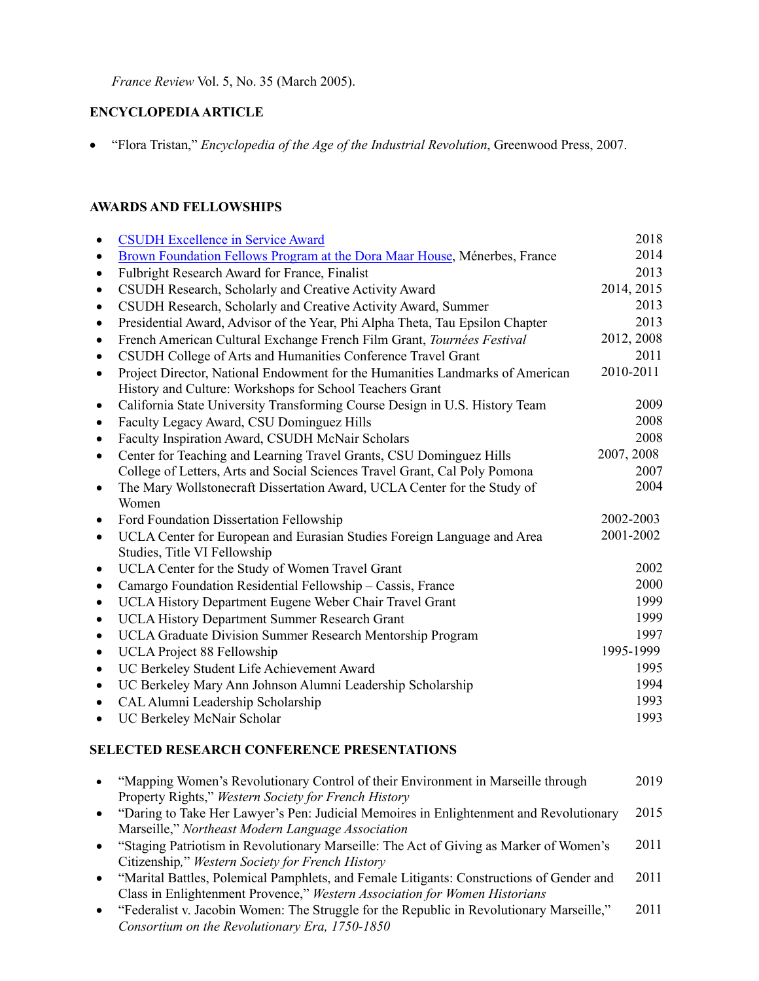*France Review* Vol. 5, No. 35 (March 2005).

## **ENCYCLOPEDIA ARTICLE**

• "Flora Tristan," *Encyclopedia of the Age of the Industrial Revolution*, Greenwood Press, 2007.

## **AWARDS AND FELLOWSHIPS**

|           | <b>CSUDH Excellence in Service Award</b>                                      | 2018       |
|-----------|-------------------------------------------------------------------------------|------------|
| $\bullet$ | Brown Foundation Fellows Program at the Dora Maar House, Ménerbes, France     | 2014       |
| $\bullet$ | Fulbright Research Award for France, Finalist                                 | 2013       |
| $\bullet$ | CSUDH Research, Scholarly and Creative Activity Award                         | 2014, 2015 |
| $\bullet$ | CSUDH Research, Scholarly and Creative Activity Award, Summer                 | 2013       |
| $\bullet$ | Presidential Award, Advisor of the Year, Phi Alpha Theta, Tau Epsilon Chapter | 2013       |
| $\bullet$ | French American Cultural Exchange French Film Grant, Tournées Festival        | 2012, 2008 |
| $\bullet$ | CSUDH College of Arts and Humanities Conference Travel Grant                  | 2011       |
| $\bullet$ | Project Director, National Endowment for the Humanities Landmarks of American | 2010-2011  |
|           | History and Culture: Workshops for School Teachers Grant                      |            |
| ٠         | California State University Transforming Course Design in U.S. History Team   | 2009       |
| $\bullet$ | Faculty Legacy Award, CSU Dominguez Hills                                     | 2008       |
| $\bullet$ | Faculty Inspiration Award, CSUDH McNair Scholars                              | 2008       |
| $\bullet$ | Center for Teaching and Learning Travel Grants, CSU Dominguez Hills           | 2007, 2008 |
|           | College of Letters, Arts and Social Sciences Travel Grant, Cal Poly Pomona    | 2007       |
| $\bullet$ | The Mary Wollstonecraft Dissertation Award, UCLA Center for the Study of      | 2004       |
|           | Women                                                                         |            |
| $\bullet$ | Ford Foundation Dissertation Fellowship                                       | 2002-2003  |
| $\bullet$ | UCLA Center for European and Eurasian Studies Foreign Language and Area       | 2001-2002  |
|           | Studies, Title VI Fellowship                                                  |            |
| $\bullet$ | UCLA Center for the Study of Women Travel Grant                               | 2002       |
| $\bullet$ | Camargo Foundation Residential Fellowship - Cassis, France                    | 2000       |
| $\bullet$ | UCLA History Department Eugene Weber Chair Travel Grant                       | 1999       |
| $\bullet$ | UCLA History Department Summer Research Grant                                 | 1999       |
| $\bullet$ | UCLA Graduate Division Summer Research Mentorship Program                     | 1997       |
| $\bullet$ | <b>UCLA</b> Project 88 Fellowship                                             | 1995-1999  |
| $\bullet$ | UC Berkeley Student Life Achievement Award                                    | 1995       |
| $\bullet$ | UC Berkeley Mary Ann Johnson Alumni Leadership Scholarship                    | 1994       |
| $\bullet$ | CAL Alumni Leadership Scholarship                                             | 1993       |
| $\bullet$ | UC Berkeley McNair Scholar                                                    | 1993       |

## **SELECTED RESEARCH CONFERENCE PRESENTATIONS**

| "Mapping Women's Revolutionary Control of their Environment in Marseille through           | 2019 |
|--------------------------------------------------------------------------------------------|------|
| Property Rights," Western Society for French History                                       |      |
| "Daring to Take Her Lawyer's Pen: Judicial Memoires in Enlightenment and Revolutionary     | 2015 |
| Marseille," Northeast Modern Language Association                                          |      |
| "Staging Patriotism in Revolutionary Marseille: The Act of Giving as Marker of Women's     | 2011 |
| Citizenship," Western Society for French History                                           |      |
| "Marital Battles, Polemical Pamphlets, and Female Litigants: Constructions of Gender and   | 2011 |
| Class in Enlightenment Provence," Western Association for Women Historians                 |      |
| • "Federalist v. Jacobin Women: The Struggle for the Republic in Revolutionary Marseille," | 2011 |
| Consortium on the Revolutionary Era, 1750-1850                                             |      |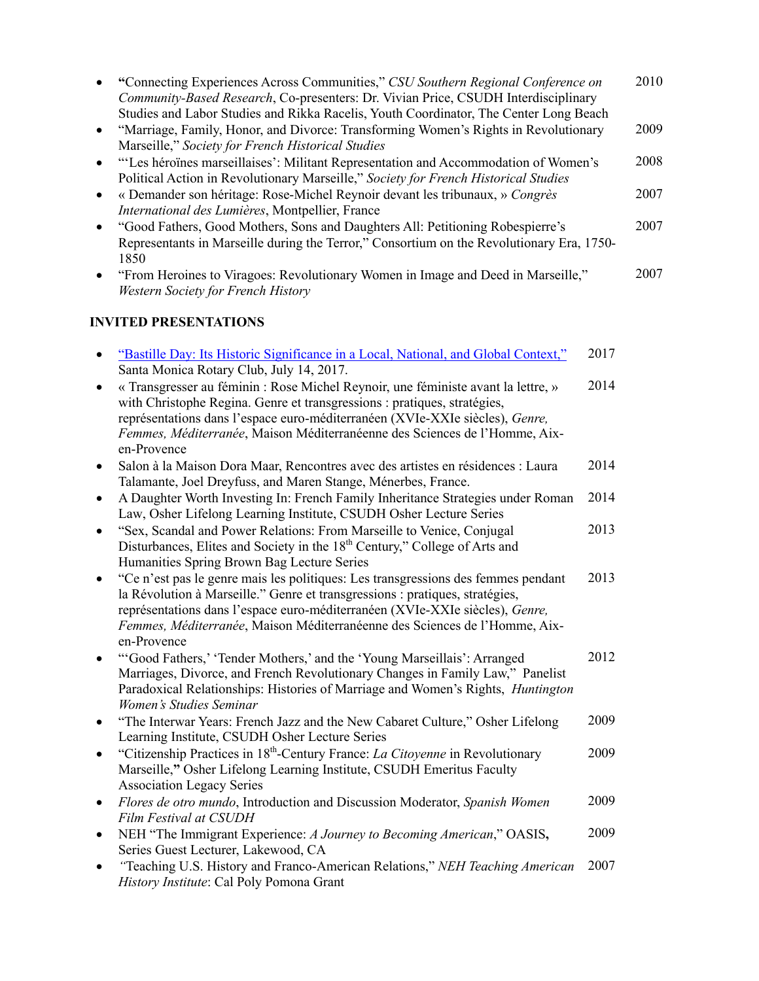| $\bullet$ | "Connecting Experiences Across Communities," CSU Southern Regional Conference on<br>Community-Based Research, Co-presenters: Dr. Vivian Price, CSUDH Interdisciplinary<br>Studies and Labor Studies and Rikka Racelis, Youth Coordinator, The Center Long Beach                                                                                |      | 2010 |
|-----------|------------------------------------------------------------------------------------------------------------------------------------------------------------------------------------------------------------------------------------------------------------------------------------------------------------------------------------------------|------|------|
| ٠         | "Marriage, Family, Honor, and Divorce: Transforming Women's Rights in Revolutionary<br>Marseille," Society for French Historical Studies                                                                                                                                                                                                       |      | 2009 |
| ٠         | "'Les héroïnes marseillaises': Militant Representation and Accommodation of Women's<br>Political Action in Revolutionary Marseille," Society for French Historical Studies                                                                                                                                                                     |      | 2008 |
| $\bullet$ | « Demander son héritage: Rose-Michel Reynoir devant les tribunaux, » Congrès<br>International des Lumières, Montpellier, France                                                                                                                                                                                                                |      | 2007 |
| $\bullet$ | "Good Fathers, Good Mothers, Sons and Daughters All: Petitioning Robespierre's<br>Representants in Marseille during the Terror," Consortium on the Revolutionary Era, 1750-<br>1850                                                                                                                                                            |      | 2007 |
| ٠         | "From Heroines to Viragoes: Revolutionary Women in Image and Deed in Marseille,"<br>Western Society for French History                                                                                                                                                                                                                         |      | 2007 |
|           | <b>INVITED PRESENTATIONS</b>                                                                                                                                                                                                                                                                                                                   |      |      |
| ٠         | "Bastille Day: Its Historic Significance in a Local, National, and Global Context,"<br>Santa Monica Rotary Club, July 14, 2017.                                                                                                                                                                                                                | 2017 |      |
| ٠         | « Transgresser au féminin : Rose Michel Reynoir, une féministe avant la lettre, »<br>with Christophe Regina. Genre et transgressions : pratiques, stratégies,<br>représentations dans l'espace euro-méditerranéen (XVIe-XXIe siècles), Genre,<br>Femmes, Méditerranée, Maison Méditerranéenne des Sciences de l'Homme, Aix-<br>en-Provence     | 2014 |      |
| ٠         | Salon à la Maison Dora Maar, Rencontres avec des artistes en résidences : Laura<br>Talamante, Joel Dreyfuss, and Maren Stange, Ménerbes, France.                                                                                                                                                                                               | 2014 |      |
| $\bullet$ | A Daughter Worth Investing In: French Family Inheritance Strategies under Roman<br>Law, Osher Lifelong Learning Institute, CSUDH Osher Lecture Series                                                                                                                                                                                          | 2014 |      |
| $\bullet$ | "Sex, Scandal and Power Relations: From Marseille to Venice, Conjugal<br>Disturbances, Elites and Society in the 18 <sup>th</sup> Century," College of Arts and<br>Humanities Spring Brown Bag Lecture Series                                                                                                                                  | 2013 |      |
| ٠         | "Ce n'est pas le genre mais les politiques: Les transgressions des femmes pendant<br>la Révolution à Marseille." Genre et transgressions : pratiques, stratégies,<br>représentations dans l'espace euro-méditerranéen (XVIe-XXIe siècles), Genre,<br>Femmes, Méditerranée, Maison Méditerranéenne des Sciences de l'Homme, Aix-<br>en-Provence | 2013 |      |
| ٠         | "Good Fathers,' 'Tender Mothers,' and the 'Young Marseillais': Arranged<br>Marriages, Divorce, and French Revolutionary Changes in Family Law," Panelist<br>Paradoxical Relationships: Histories of Marriage and Women's Rights, <i>Huntington</i><br>Women's Studies Seminar                                                                  | 2012 |      |
| ٠         | "The Interwar Years: French Jazz and the New Cabaret Culture," Osher Lifelong<br>Learning Institute, CSUDH Osher Lecture Series                                                                                                                                                                                                                | 2009 |      |
| $\bullet$ | "Citizenship Practices in 18th-Century France: La Citoyenne in Revolutionary<br>Marseille," Osher Lifelong Learning Institute, CSUDH Emeritus Faculty<br><b>Association Legacy Series</b>                                                                                                                                                      | 2009 |      |
| ٠         | Flores de otro mundo, Introduction and Discussion Moderator, Spanish Women<br>Film Festival at CSUDH                                                                                                                                                                                                                                           | 2009 |      |
| $\bullet$ | NEH "The Immigrant Experience: A Journey to Becoming American," OASIS,<br>Series Guest Lecturer, Lakewood, CA                                                                                                                                                                                                                                  | 2009 |      |
| ٠         | "Teaching U.S. History and Franco-American Relations," NEH Teaching American<br>History Institute: Cal Poly Pomona Grant                                                                                                                                                                                                                       | 2007 |      |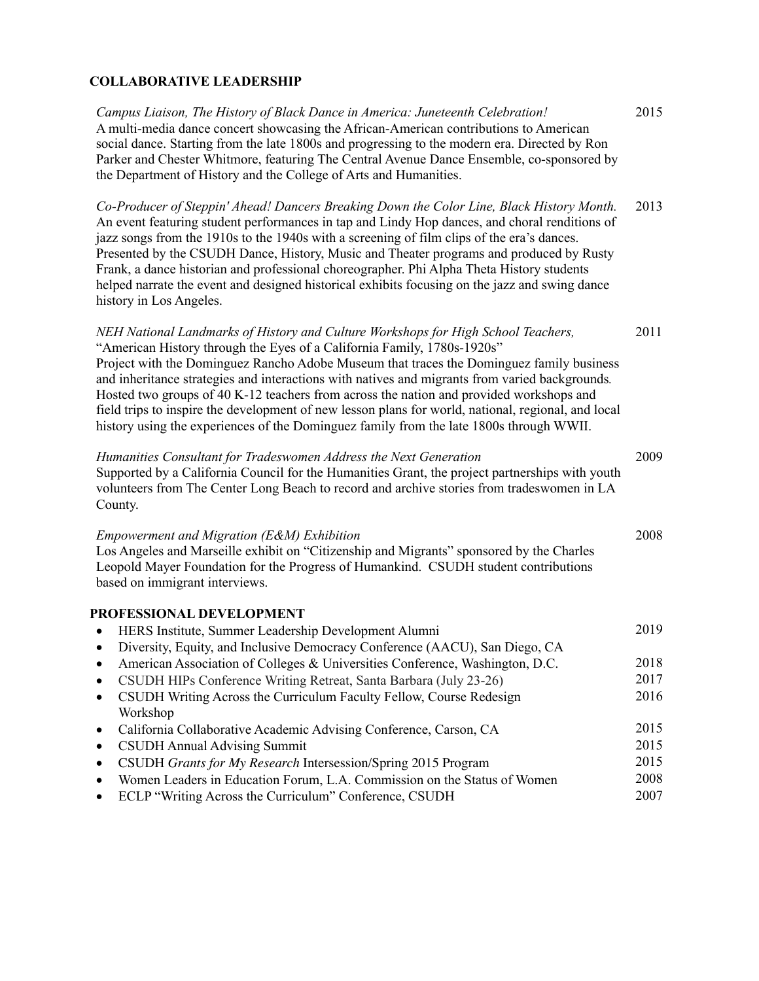# **COLLABORATIVE LEADERSHIP**

| Campus Liaison, The History of Black Dance in America: Juneteenth Celebration!<br>A multi-media dance concert showcasing the African-American contributions to American<br>social dance. Starting from the late 1800s and progressing to the modern era. Directed by Ron<br>Parker and Chester Whitmore, featuring The Central Avenue Dance Ensemble, co-sponsored by<br>the Department of History and the College of Arts and Humanities.                                                                                                                                                                                                              | 2015         |
|---------------------------------------------------------------------------------------------------------------------------------------------------------------------------------------------------------------------------------------------------------------------------------------------------------------------------------------------------------------------------------------------------------------------------------------------------------------------------------------------------------------------------------------------------------------------------------------------------------------------------------------------------------|--------------|
| Co-Producer of Steppin' Ahead! Dancers Breaking Down the Color Line, Black History Month.<br>An event featuring student performances in tap and Lindy Hop dances, and choral renditions of<br>jazz songs from the 1910s to the 1940s with a screening of film clips of the era's dances.<br>Presented by the CSUDH Dance, History, Music and Theater programs and produced by Rusty<br>Frank, a dance historian and professional choreographer. Phi Alpha Theta History students<br>helped narrate the event and designed historical exhibits focusing on the jazz and swing dance<br>history in Los Angeles.                                           | 2013         |
| NEH National Landmarks of History and Culture Workshops for High School Teachers,<br>"American History through the Eyes of a California Family, 1780s-1920s"<br>Project with the Dominguez Rancho Adobe Museum that traces the Dominguez family business<br>and inheritance strategies and interactions with natives and migrants from varied backgrounds.<br>Hosted two groups of 40 K-12 teachers from across the nation and provided workshops and<br>field trips to inspire the development of new lesson plans for world, national, regional, and local<br>history using the experiences of the Dominguez family from the late 1800s through WWII. | 2011         |
| Humanities Consultant for Tradeswomen Address the Next Generation<br>Supported by a California Council for the Humanities Grant, the project partnerships with youth<br>volunteers from The Center Long Beach to record and archive stories from tradeswomen in LA<br>County.                                                                                                                                                                                                                                                                                                                                                                           | 2009         |
| Empowerment and Migration (E&M) Exhibition<br>Los Angeles and Marseille exhibit on "Citizenship and Migrants" sponsored by the Charles<br>Leopold Mayer Foundation for the Progress of Humankind. CSUDH student contributions<br>based on immigrant interviews.                                                                                                                                                                                                                                                                                                                                                                                         | 2008         |
| PROFESSIONAL DEVELOPMENT                                                                                                                                                                                                                                                                                                                                                                                                                                                                                                                                                                                                                                |              |
| HERS Institute, Summer Leadership Development Alumni<br>$\bullet$                                                                                                                                                                                                                                                                                                                                                                                                                                                                                                                                                                                       | 2019         |
| Diversity, Equity, and Inclusive Democracy Conference (AACU), San Diego, CA<br>$\bullet$                                                                                                                                                                                                                                                                                                                                                                                                                                                                                                                                                                |              |
| American Association of Colleges & Universities Conference, Washington, D.C.                                                                                                                                                                                                                                                                                                                                                                                                                                                                                                                                                                            | 2018         |
| CSUDH HIPs Conference Writing Retreat, Santa Barbara (July 23-26)                                                                                                                                                                                                                                                                                                                                                                                                                                                                                                                                                                                       | 2017<br>2016 |
| CSUDH Writing Across the Curriculum Faculty Fellow, Course Redesign<br>Workshop                                                                                                                                                                                                                                                                                                                                                                                                                                                                                                                                                                         |              |
| California Collaborative Academic Advising Conference, Carson, CA<br>٠                                                                                                                                                                                                                                                                                                                                                                                                                                                                                                                                                                                  | 2015         |
| <b>CSUDH Annual Advising Summit</b><br>٠                                                                                                                                                                                                                                                                                                                                                                                                                                                                                                                                                                                                                | 2015         |
| CSUDH Grants for My Research Intersession/Spring 2015 Program<br>$\bullet$                                                                                                                                                                                                                                                                                                                                                                                                                                                                                                                                                                              | 2015         |
| Women Leaders in Education Forum, L.A. Commission on the Status of Women<br>٠                                                                                                                                                                                                                                                                                                                                                                                                                                                                                                                                                                           | 2008         |
| ECLP "Writing Across the Curriculum" Conference, CSUDH<br>٠                                                                                                                                                                                                                                                                                                                                                                                                                                                                                                                                                                                             | 2007         |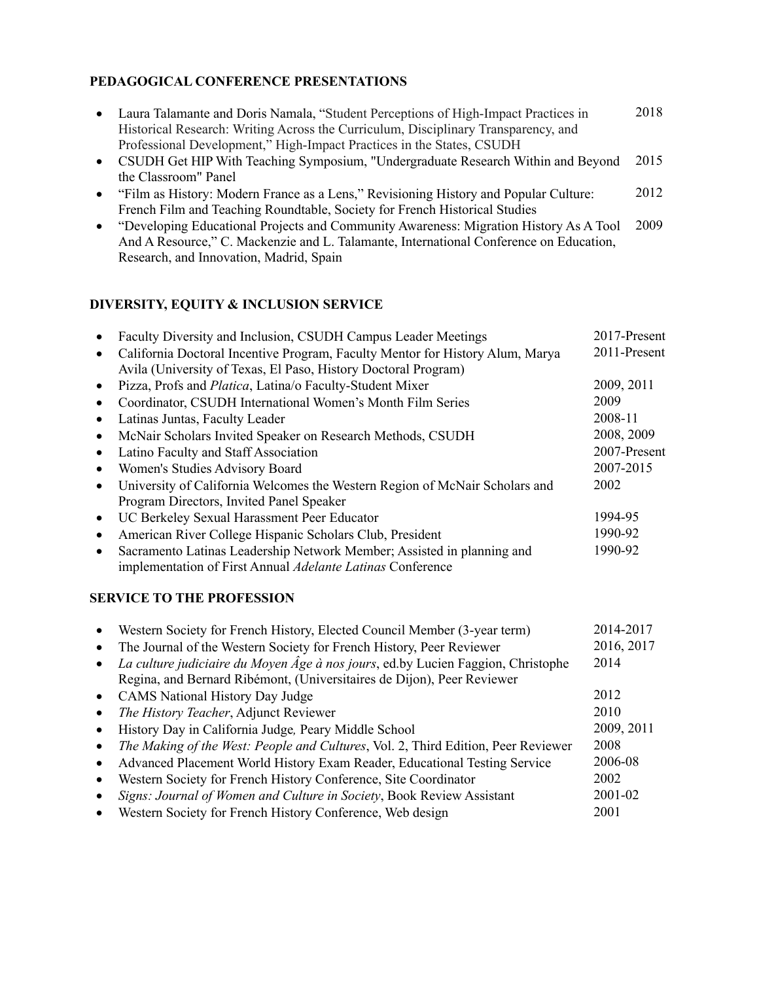## **PEDAGOGICAL CONFERENCE PRESENTATIONS**

| • Laura Talamante and Doris Namala, "Student Perceptions of High-Impact Practices in | 2018 |
|--------------------------------------------------------------------------------------|------|
| Historical Research: Writing Across the Curriculum, Disciplinary Transparency, and   |      |
| Professional Development," High-Impact Practices in the States, CSUDH                |      |
| CSUDH Get HIP With Teaching Symposium, "Undergraduate Research Within and Beyond     | 2015 |
| the Classroom" Panel                                                                 |      |

- "Film as History: Modern France as a Lens," Revisioning History and Popular Culture: French Film and Teaching Roundtable, Society for French Historical Studies 2012
- "Developing Educational Projects and Community Awareness: Migration History As A Tool 2009 And A Resource," C. Mackenzie and L. Talamante, International Conference on Education, Research, and Innovation, Madrid, Spain

#### **DIVERSITY, EQUITY & INCLUSION SERVICE**

|                                                                                                                                                   | 2011-Present |
|---------------------------------------------------------------------------------------------------------------------------------------------------|--------------|
| California Doctoral Incentive Program, Faculty Mentor for History Alum, Marya<br>Avila (University of Texas, El Paso, History Doctoral Program)   |              |
| Pizza, Profs and <i>Platica</i> , Latina/o Faculty-Student Mixer                                                                                  | 2009, 2011   |
| Coordinator, CSUDH International Women's Month Film Series                                                                                        | 2009         |
| Latinas Juntas, Faculty Leader                                                                                                                    | 2008-11      |
| McNair Scholars Invited Speaker on Research Methods, CSUDH<br>$\bullet$                                                                           | 2008, 2009   |
| Latino Faculty and Staff Association                                                                                                              | 2007-Present |
| Women's Studies Advisory Board<br>$\bullet$                                                                                                       | 2007-2015    |
| University of California Welcomes the Western Region of McNair Scholars and                                                                       | 2002         |
| Program Directors, Invited Panel Speaker                                                                                                          |              |
| UC Berkeley Sexual Harassment Peer Educator<br>$\bullet$                                                                                          | 1994-95      |
| American River College Hispanic Scholars Club, President<br>$\bullet$                                                                             | 1990-92      |
| Sacramento Latinas Leadership Network Member; Assisted in planning and<br>$\bullet$<br>implementation of First Annual Adelante Latinas Conference | 1990-92      |

#### **SERVICE TO THE PROFESSION**

|           | Western Society for French History, Elected Council Member (3-year term)                                                                                   | 2014-2017  |
|-----------|------------------------------------------------------------------------------------------------------------------------------------------------------------|------------|
| $\bullet$ | The Journal of the Western Society for French History, Peer Reviewer                                                                                       | 2016, 2017 |
|           | La culture judiciaire du Moyen Âge à nos jours, ed.by Lucien Faggion, Christophe<br>Regina, and Bernard Ribémont, (Universitaires de Dijon), Peer Reviewer | 2014       |
| $\bullet$ | <b>CAMS</b> National History Day Judge                                                                                                                     | 2012       |
| $\bullet$ | The History Teacher, Adjunct Reviewer                                                                                                                      | 2010       |
|           | History Day in California Judge, Peary Middle School                                                                                                       | 2009, 2011 |
|           | The Making of the West: People and Cultures, Vol. 2, Third Edition, Peer Reviewer                                                                          | 2008       |
|           | Advanced Placement World History Exam Reader, Educational Testing Service                                                                                  | 2006-08    |
|           | Western Society for French History Conference, Site Coordinator                                                                                            | 2002       |
|           | Signs: Journal of Women and Culture in Society, Book Review Assistant                                                                                      | 2001-02    |
|           | Western Society for French History Conference, Web design                                                                                                  | 2001       |